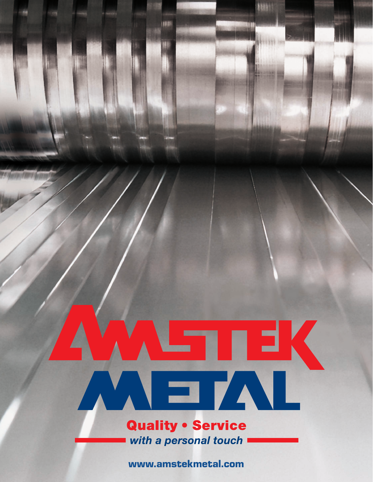# 

川郎

**ABBI** 

**Quality • Service** with a personal touch

**www.amstekmetal.com**